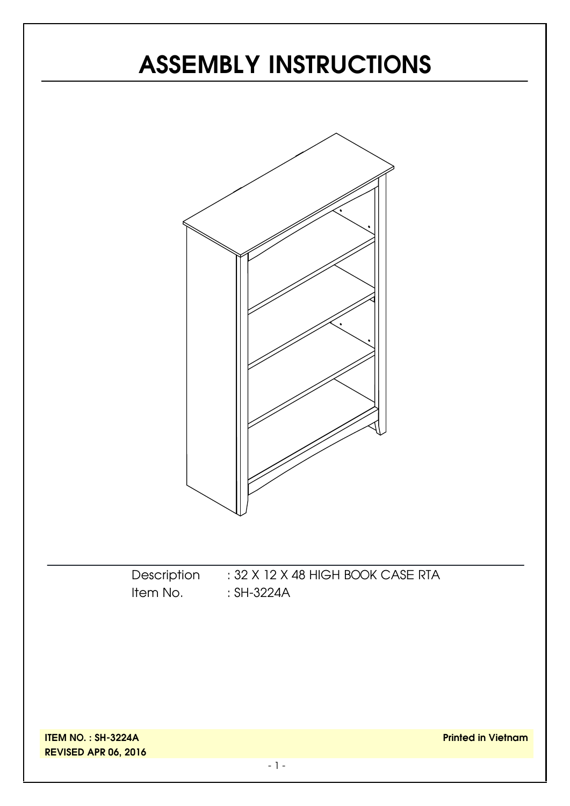# **ASSEMBLY INSTRUCTIONS**



**ITEM NO. : SH-3224A REVISED APR 06, 2016**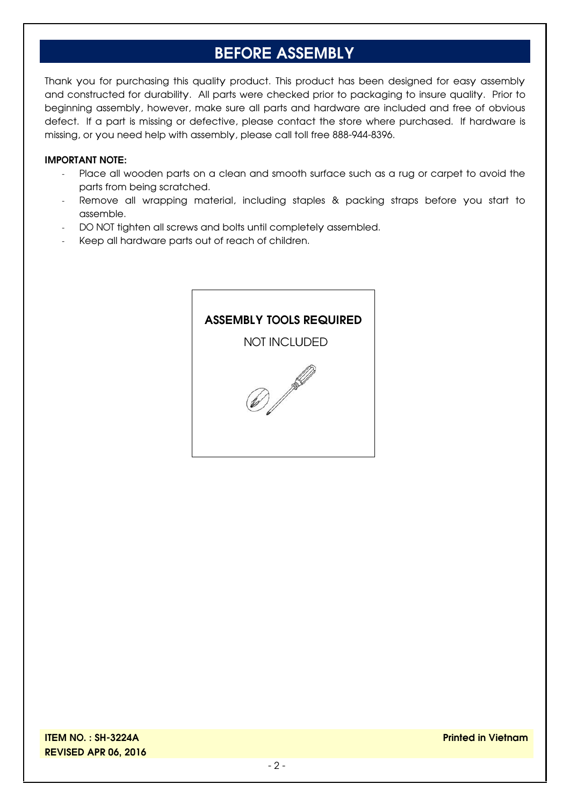# **BEFORE ASSEMBLY**

Thank you for purchasing this quality product. This product has been designed for easy assembly and constructed for durability. All parts were checked prior to packaging to insure quality. Prior to beginning assembly, however, make sure all parts and hardware are included and free of obvious defect. If a part is missing or defective, please contact the store where purchased. If hardware is missing, or you need help with assembly, please call toll free 888-944-8396.

#### **IMPORTANT NOTE:**

- Place all wooden parts on a clean and smooth surface such as a rug or carpet to avoid the parts from being scratched.
- Remove all wrapping material, including staples & packing straps before you start to assemble.
- DO NOT tighten all screws and bolts until completely assembled.
- Keep all hardware parts out of reach of children.

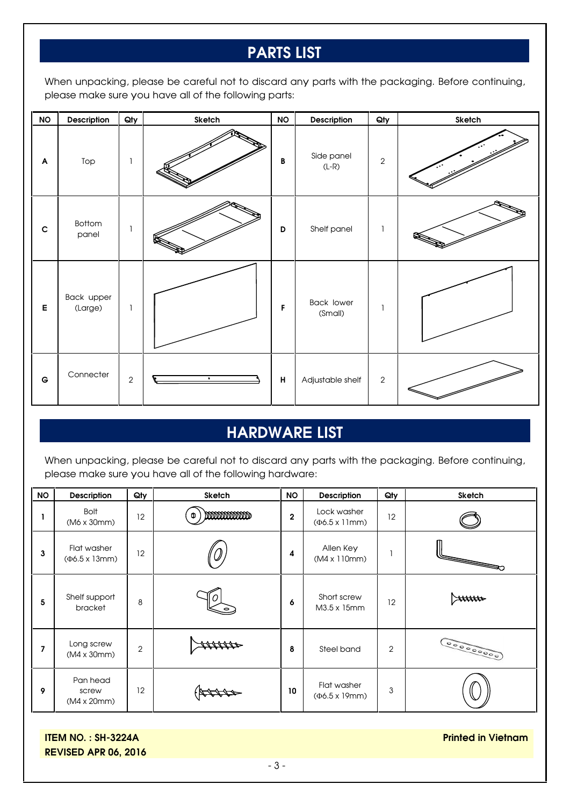# **PARTS LIST**

When unpacking, please be careful not to discard any parts with the packaging. Before continuing, please make sure you have all of the following parts:

| $\mathsf{NO}$ | Description           | Qty        | Sketch    | <b>NO</b>    | Description                  | Qty            | Sketch |
|---------------|-----------------------|------------|-----------|--------------|------------------------------|----------------|--------|
| A             | Top                   | ı          |           | $\, {\bf B}$ | Side panel<br>$(L-R)$        | $\sqrt{2}$     |        |
| $\mathbf C$   | Bottom<br>panel       |            |           | D            | Shelf panel                  | $\overline{1}$ |        |
| E             | Back upper<br>(Large) | ı          |           | F            | <b>Back lower</b><br>(Small) | 1              |        |
| $\mathsf G$   | Connecter             | $\sqrt{2}$ | $\bullet$ | н            | Adjustable shelf             | $\overline{2}$ |        |

#### **HARDWARE LIST**

When unpacking, please be careful not to discard any parts with the packaging. Before continuing, please make sure you have all of the following hardware:

| <b>NO</b> | Description                                 | Qty            | Sketch     | <b>NO</b>        | <b>Description</b>                      | Qty            | <b>Sketch</b>  |
|-----------|---------------------------------------------|----------------|------------|------------------|-----------------------------------------|----------------|----------------|
|           | <b>Bolt</b><br>(M6 x 30mm)                  | 12             | mmmmm<br>Φ | $\boldsymbol{2}$ | Lock washer<br>$(\Phi6.5 \times 11$ mm) | 12             |                |
| 3         | Flat washer<br>$(46.5 \times 13 \text{mm})$ | 12             |            | 4                | Allen Key<br>(M4 x 110mm)               |                | <b>Records</b> |
| 5         | Shelf support<br>bracket                    | 8              |            | 6                | Short screw<br>M3.5 x 15mm              | 12             |                |
| 7         | Long screw<br>(M4 x 30mm)                   | $\overline{2}$ |            | 8                | Steel band                              | $\overline{2}$ | 0000000000     |
| 9         | Pan head<br>screw<br>(M4 x 20mm)            | 12             |            | 10               | Flat washer<br>$(46.5 \times 19$ mm)    | 3              |                |

**ITEM NO. : SH-3224A REVISED APR 06, 2016**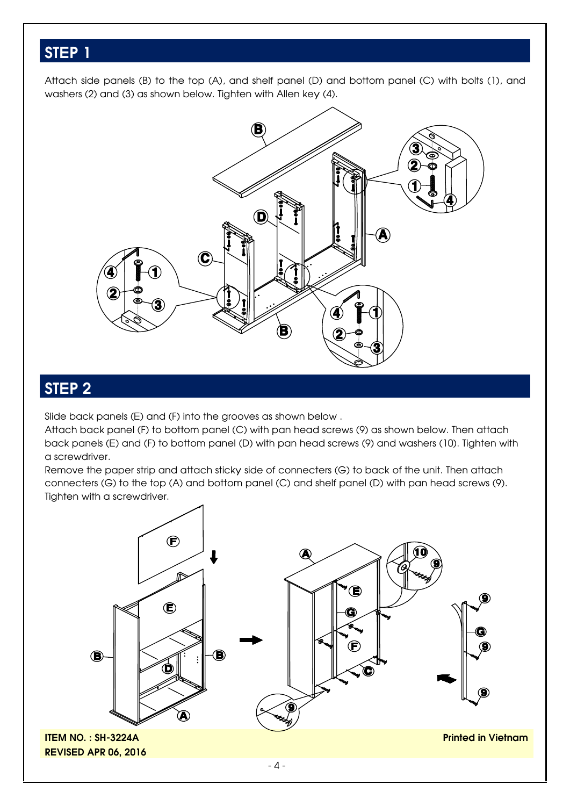### **STEP 1**

Attach side panels (B) to the top (A), and shelf panel (D) and bottom panel (C) with bolts (1), and washers (2) and (3) as shown below. Tighten with Allen key (4).



## **STEP 2**

Slide back panels (E) and (F) into the grooves as shown below .

Attach back panel (F) to bottom panel (C) with pan head screws (9) as shown below. Then attach back panels (E) and (F) to bottom panel (D) with pan head screws (9) and washers (10). Tighten with a screwdriver.

Remove the paper strip and attach sticky side of connecters (G) to back of the unit. Then attach connecters (G) to the top (A) and bottom panel (C) and shelf panel (D) with pan head screws (9). Tighten with a screwdriver.